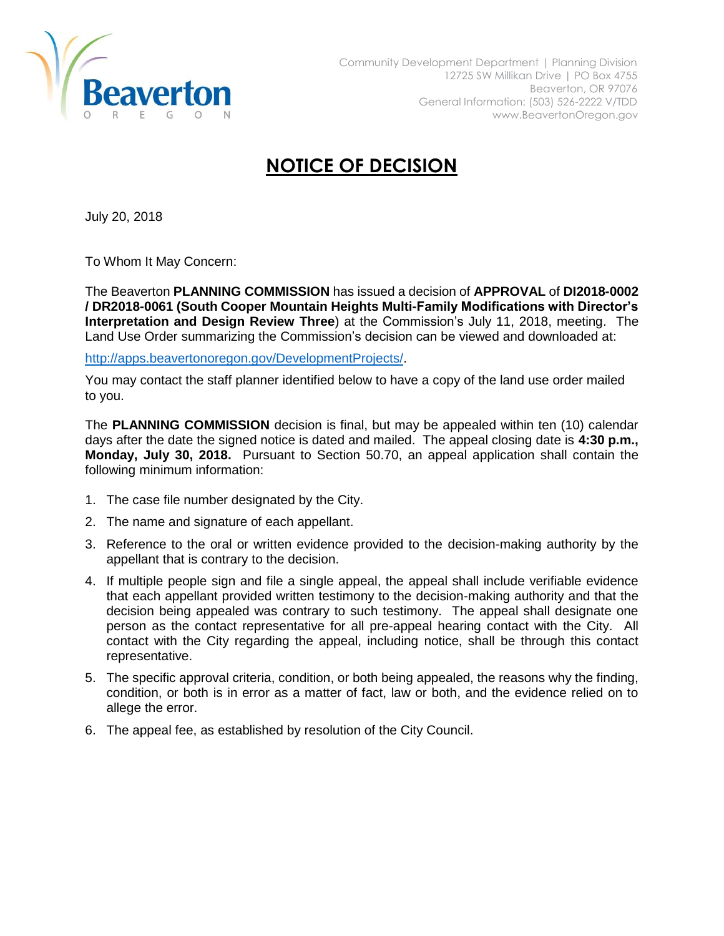

## **NOTICE OF DECISION**

July 20, 2018

To Whom It May Concern:

The Beaverton **PLANNING COMMISSION** has issued a decision of **APPROVAL** of **DI2018-0002 / DR2018-0061 (South Cooper Mountain Heights Multi-Family Modifications with Director's Interpretation and Design Review Three**) at the Commission's July 11, 2018, meeting. The Land Use Order summarizing the Commission's decision can be viewed and downloaded at:

[http://apps.beavertonoregon.gov/DevelopmentProjects/.](http://apps.beavertonoregon.gov/DevelopmentProjects/)

You may contact the staff planner identified below to have a copy of the land use order mailed to you.

The **PLANNING COMMISSION** decision is final, but may be appealed within ten (10) calendar days after the date the signed notice is dated and mailed. The appeal closing date is **4:30 p.m., Monday, July 30, 2018.** Pursuant to Section 50.70, an appeal application shall contain the following minimum information:

- 1. The case file number designated by the City.
- 2. The name and signature of each appellant.
- 3. Reference to the oral or written evidence provided to the decision-making authority by the appellant that is contrary to the decision.
- 4. If multiple people sign and file a single appeal, the appeal shall include verifiable evidence that each appellant provided written testimony to the decision-making authority and that the decision being appealed was contrary to such testimony. The appeal shall designate one person as the contact representative for all pre-appeal hearing contact with the City. All contact with the City regarding the appeal, including notice, shall be through this contact representative.
- 5. The specific approval criteria, condition, or both being appealed, the reasons why the finding, condition, or both is in error as a matter of fact, law or both, and the evidence relied on to allege the error.
- 6. The appeal fee, as established by resolution of the City Council.